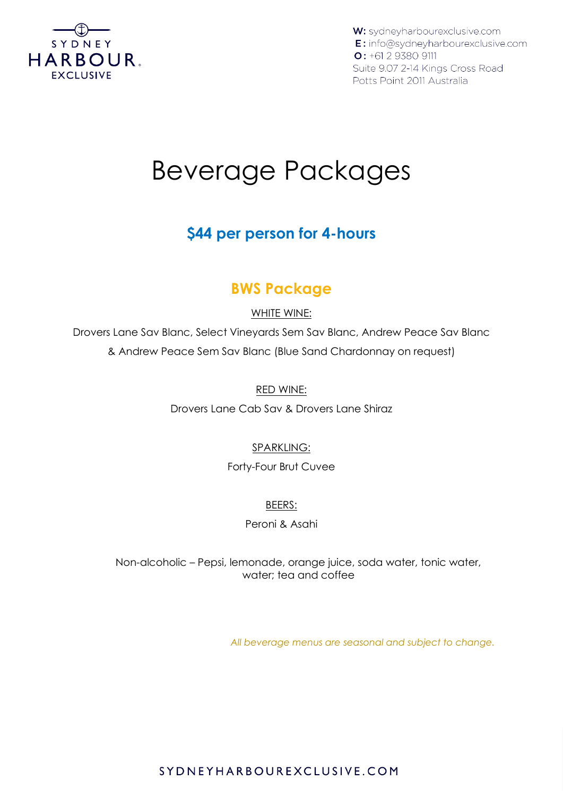

W: sydneyharbourexclusive.com E: info@sydneyharbourexclusive.com  $O: +61293809111$ Suite 9.07 2-14 Kings Cross Road Potts Point 2011 Australia

# Beverage Packages

# **\$44 per person for 4-hours**

# **BWS Package**

## WHITE WINE:

Drovers Lane Sav Blanc, Select Vineyards Sem Sav Blanc, Andrew Peace Sav Blanc & Andrew Peace Sem Sav Blanc (Blue Sand Chardonnay on request)

#### RED WINE:

Drovers Lane Cab Sav & Drovers Lane Shiraz

## SPARKLING:

#### Forty-Four Brut Cuvee

#### BEERS:

## Peroni & Asahi

Non-alcoholic – Pepsi, lemonade, orange juice, soda water, tonic water, water; tea and coffee

*All beverage menus are seasonal and subject to change.* 

## SYDNEYHARBOUREXCLUSIVE.COM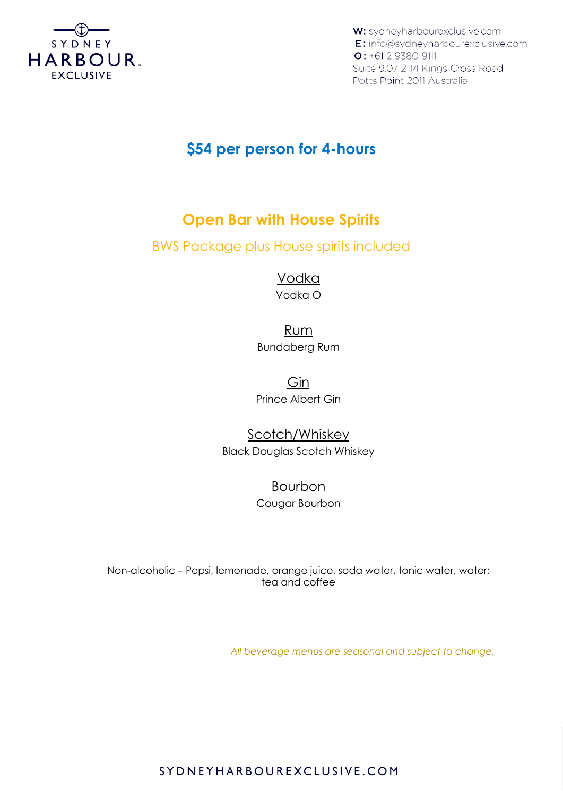

W: sydneyharbourexclusive.com E: info@sydneyharbourexclusive.com  $O: +61293809111$ Suite 9.07 2-14 Kings Cross Road Potts Point 2011 Australia

## **\$54 per person for 4-hours**

## **Open Bar with House Spirits**

BWS Package plus House spirits included

Vodka Vodka O

Rum Bundaberg Rum

Gin Prince Albert Gin

Scotch/Whiskey Black Douglas Scotch Whiskey

> Bourbon Cougar Bourbon

Non-alcoholic – Pepsi, lemonade, orange juice, soda water, tonic water, water; tea and coffee

*All beverage menus are seasonal and subject to change.* 

SYDNEYHARBOUREXCLUSIVE.COM